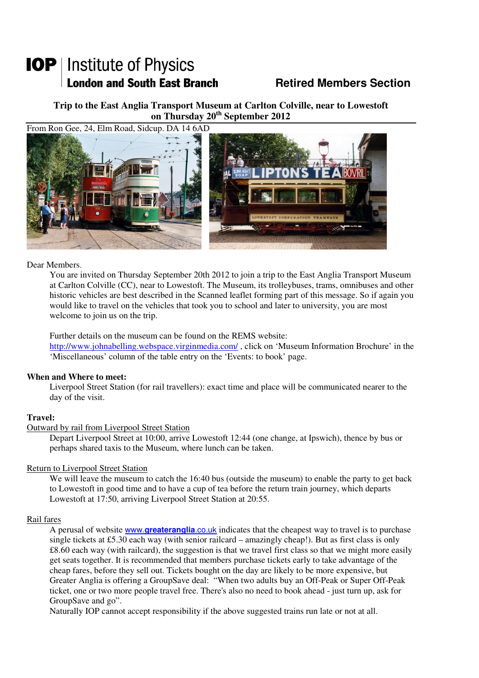# **IOP** | Institute of Physics **London and South East Branch Members Section Retired Members Section**

**Trip to the East Anglia Transport Museum at Carlton Colville, near to Lowestoft on Thursday 20th September 2012** 



#### Dear Members.

 You are invited on Thursday September 20th 2012 to join a trip to the East Anglia Transport Museum at Carlton Colville (CC), near to Lowestoft. The Museum, its trolleybuses, trams, omnibuses and other historic vehicles are best described in the Scanned leaflet forming part of this message. So if again you would like to travel on the vehicles that took you to school and later to university, you are most welcome to join us on the trip.

 Further details on the museum can be found on the REMS website: http://www.johnabelling.webspace.virginmedia.com/ , click on 'Museum Information Brochure' in the 'Miscellaneous' column of the table entry on the 'Events: to book' page.

### **When and Where to meet:**

 Liverpool Street Station (for rail travellers): exact time and place will be communicated nearer to the day of the visit.

### **Travel:**

### Outward by rail from Liverpool Street Station

Depart Liverpool Street at 10:00, arrive Lowestoft 12:44 (one change, at Ipswich), thence by bus or perhaps shared taxis to the Museum, where lunch can be taken.

### Return to Liverpool Street Station

We will leave the museum to catch the 16:40 bus (outside the museum) to enable the party to get back to Lowestoft in good time and to have a cup of tea before the return train journey, which departs Lowestoft at 17:50, arriving Liverpool Street Station at 20:55.

### Rail fares

A perusal of website www.**greateranglia**.co.uk indicates that the cheapest way to travel is to purchase single tickets at £5.30 each way (with senior railcard – amazingly cheap!). But as first class is only £8.60 each way (with railcard), the suggestion is that we travel first class so that we might more easily get seats together. It is recommended that members purchase tickets early to take advantage of the cheap fares, before they sell out. Tickets bought on the day are likely to be more expensive, but Greater Anglia is offering a GroupSave deal: "When two adults buy an Off-Peak or Super Off-Peak ticket, one or two more people travel free. There's also no need to book ahead - just turn up, ask for GroupSave and go".

Naturally IOP cannot accept responsibility if the above suggested trains run late or not at all.